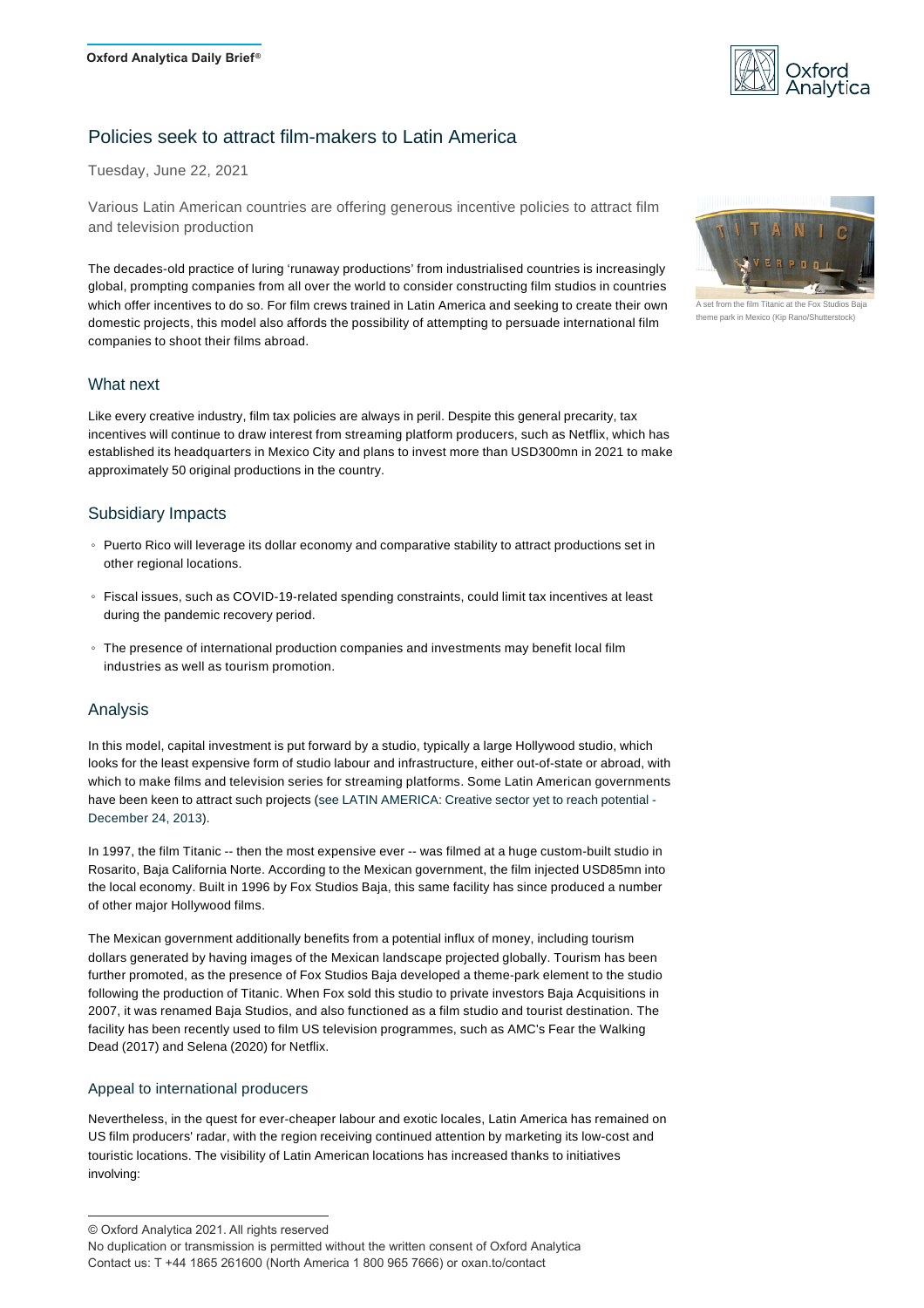

# Policies seek to attract film-makers to Latin America

Tuesday, June 22, 2021

Various Latin American countries are offering generous incentive policies to attract film and television production

The decades-old practice of luring 'runaway productions' from industrialised countries is increasingly global, prompting companies from all over the world to consider constructing film studios in countries which offer incentives to do so. For film crews trained in Latin America and seeking to create their own domestic projects, this model also affords the possibility of attempting to persuade international film companies to shoot their films abroad.

## What next

Like every creative industry, film tax policies are always in peril. Despite this general precarity, tax incentives will continue to draw interest from streaming platform producers, such as Netflix, which has established its headquarters in Mexico City and plans to invest more than USD300mn in 2021 to make approximately 50 original productions in the country.

## Subsidiary Impacts

- Puerto Rico will leverage its dollar economy and comparative stability to attract productions set in other regional locations.
- Fiscal issues, such as COVID-19-related spending constraints, could limit tax incentives at least during the pandemic recovery period.
- The presence of international production companies and investments may benefit local film industries as well as tourism promotion.

## Analysis

In this model, capital investment is put forward by a studio, typically a large Hollywood studio, which looks for the least expensive form of studio labour and infrastructure, either out-of-state or abroad, with which to make films and television series for streaming platforms. Some Latin American governments have been keen to attract such projects (see LATIN AMERICA: Creative sector yet to reach potential -[December 24, 2013](http://localhost:8885/Analysis/DB187776)).

In 1997, the film Titanic -- then the most expensive ever -- was filmed at a huge custom-built studio in Rosarito, Baja California Norte. According to the Mexican government, the film injected USD85mn into the local economy. Built in 1996 by Fox Studios Baja, this same facility has since produced a number of other major Hollywood films.

The Mexican government additionally benefits from a potential influx of money, including tourism dollars generated by having images of the Mexican landscape projected globally. Tourism has been further promoted, as the presence of Fox Studios Baja developed a theme-park element to the studio following the production of Titanic. When Fox sold this studio to private investors Baja Acquisitions in 2007, it was renamed Baja Studios, and also functioned as a film studio and tourist destination. The facility has been recently used to film US television programmes, such as AMC's Fear the Walking Dead (2017) and Selena (2020) for Netflix.

#### Appeal to international producers

Nevertheless, in the quest for ever-cheaper labour and exotic locales, Latin America has remained on US film producers' radar, with the region receiving continued attention by marketing its low-cost and touristic locations. The visibility of Latin American locations has increased thanks to initiatives involving:



 $\sqrt{\text{set}}$  from the film Titanic at the F theme park in Mexico (Kip Rano/Shutterstock)

<sup>©</sup> Oxford Analytica 2021. All rights reserved

No duplication or transmission is permitted without the written consent of Oxford Analytica Contact us: T +44 1865 261600 (North America 1 800 965 7666) or oxan.to/contact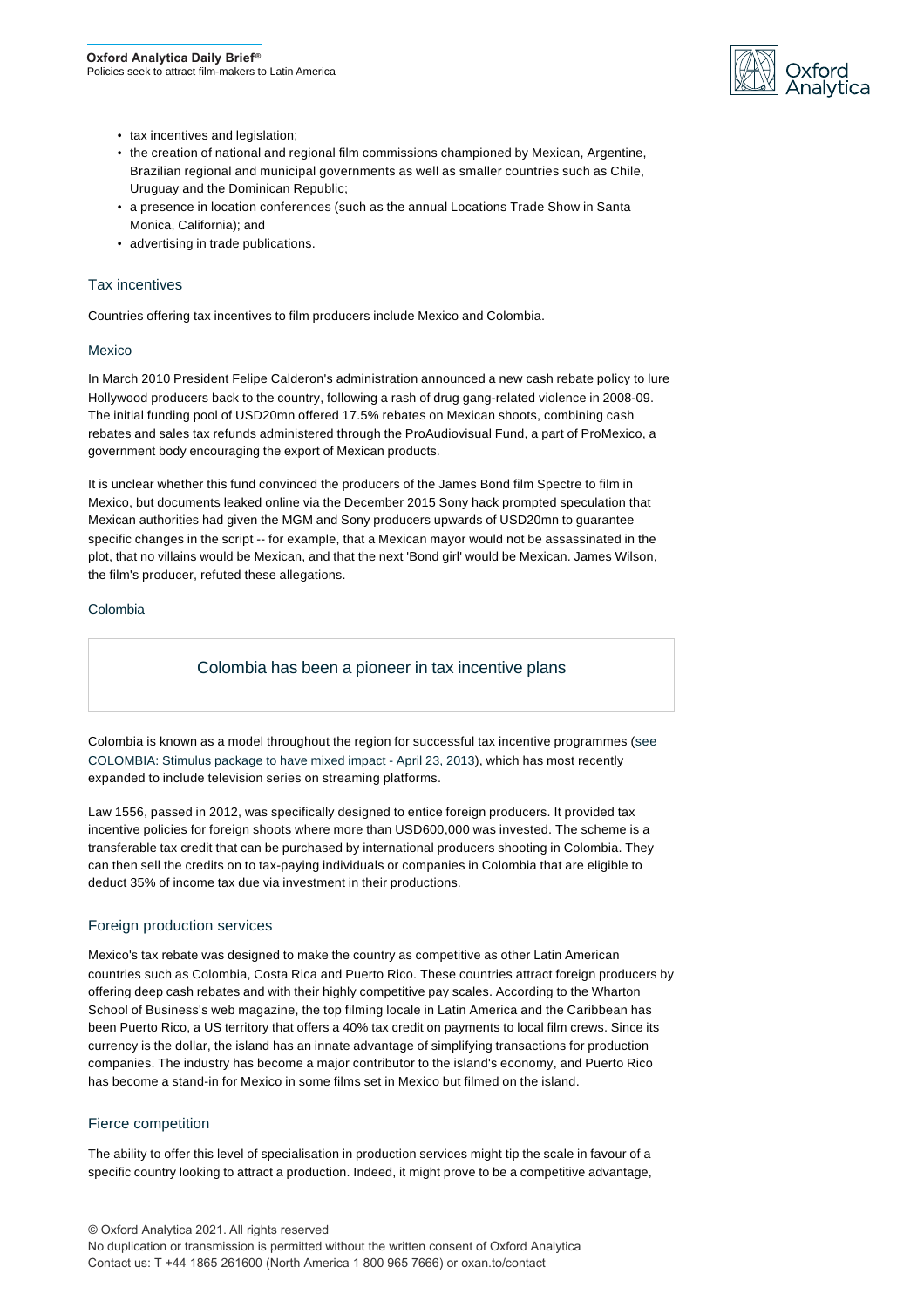

- tax incentives and legislation;
- the creation of national and regional film commissions championed by Mexican, Argentine, Brazilian regional and municipal governments as well as smaller countries such as Chile, Uruguay and the Dominican Republic;
- a presence in location conferences (such as the annual Locations Trade Show in Santa Monica, California); and
- advertising in trade publications.

## Tax incentives

Countries offering tax incentives to film producers include Mexico and Colombia.

#### Mexico

In March 2010 President Felipe Calderon's administration announced a new cash rebate policy to lure Hollywood producers back to the country, following a rash of drug gang-related violence in 2008-09. The initial funding pool of USD20mn offered 17.5% rebates on Mexican shoots, combining cash rebates and sales tax refunds administered through the ProAudiovisual Fund, a part of ProMexico, a government body encouraging the export of Mexican products.

It is unclear whether this fund convinced the producers of the James Bond film Spectre to film in Mexico, but documents leaked online via the December 2015 Sony hack prompted speculation that Mexican authorities had given the MGM and Sony producers upwards of USD20mn to guarantee specific changes in the script -- for example, that a Mexican mayor would not be assassinated in the plot, that no villains would be Mexican, and that the next 'Bond girl' would be Mexican. James Wilson, the film's producer, refuted these allegations.

#### Colombia

## Colombia has been a pioneer in tax incentive plans

Colombia is known as a model throughout the region for successful tax incentive programmes ([see](http://localhost:8885/Analysis/DB182839) [COLOMBIA: Stimulus package to have mixed impact - April 23, 2013\)](http://localhost:8885/Analysis/DB182839), which has most recently expanded to include television series on streaming platforms.

Law 1556, passed in 2012, was specifically designed to entice foreign producers. It provided tax incentive policies for foreign shoots where more than USD600,000 was invested. The scheme is a transferable tax credit that can be purchased by international producers shooting in Colombia. They can then sell the credits on to tax-paying individuals or companies in Colombia that are eligible to deduct 35% of income tax due via investment in their productions.

## Foreign production services

Mexico's tax rebate was designed to make the country as competitive as other Latin American countries such as Colombia, Costa Rica and Puerto Rico. These countries attract foreign producers by offering deep cash rebates and with their highly competitive pay scales. According to the Wharton School of Business's web magazine, the top filming locale in Latin America and the Caribbean has been Puerto Rico, a US territory that offers a 40% tax credit on payments to local film crews. Since its currency is the dollar, the island has an innate advantage of simplifying transactions for production companies. The industry has become a major contributor to the island's economy, and Puerto Rico has become a stand-in for Mexico in some films set in Mexico but filmed on the island.

## Fierce competition

The ability to offer this level of specialisation in production services might tip the scale in favour of a specific country looking to attract a production. Indeed, it might prove to be a competitive advantage,

© Oxford Analytica 2021. All rights reserved

No duplication or transmission is permitted without the written consent of Oxford Analytica Contact us: T +44 1865 261600 (North America 1 800 965 7666) or oxan.to/contact